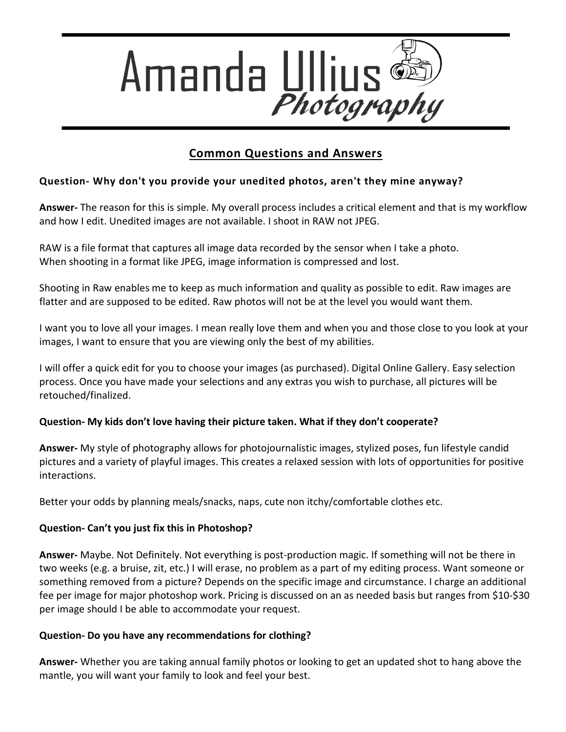

# **Common Questions and Answers**

## **Question- Why don't you provide your unedited photos, aren't they mine anyway?**

**Answer-** The reason for this is simple. My overall process includes a critical element and that is my workflow and how I edit. Unedited images are not available. I shoot in RAW not JPEG.

RAW is a file format that captures all image data recorded by the sensor when I take a photo. When shooting in a format like [JPEG,](http://en.wikipedia.org/wiki/JPEG) image information is compressed and lost.

Shooting in Raw enables me to keep as much information and quality as possible to edit. Raw images are flatter and are supposed to be edited. Raw photos will not be at the level you would want them.

I want you to love all your images. I mean really love them and when you and those close to you look at your images, I want to ensure that you are viewing only the best of my abilities.

I will offer a quick edit for you to choose your images (as purchased). Digital Online Gallery. Easy selection process. Once you have made your selections and any extras you wish to purchase, all pictures will be retouched/finalized.

### **Question- My kids don't love having their picture taken. What if they don't cooperate?**

**Answer-** My style of photography allows for photojournalistic images, stylized poses, fun lifestyle candid pictures and a variety of playful images. This creates a relaxed session with lots of opportunities for positive interactions.

Better your odds by planning meals/snacks, naps, cute non itchy/comfortable clothes etc.

### **Question- Can't you just fix this in Photoshop?**

**Answer-** Maybe. Not Definitely. Not everything is post-production magic. If something will not be there in two weeks (e.g. a bruise, zit, etc.) I will erase, no problem as a part of my editing process. Want someone or something removed from a picture? Depends on the specific image and circumstance. I charge an additional fee per image for major photoshop work. Pricing is discussed on an as needed basis but ranges from \$10-\$30 per image should I be able to accommodate your request.

### **Question- Do you have any recommendations for clothing?**

**Answer-** Whether you are taking annual family photos or looking to get an updated shot to hang above the mantle, you will want your family to look and feel your best.